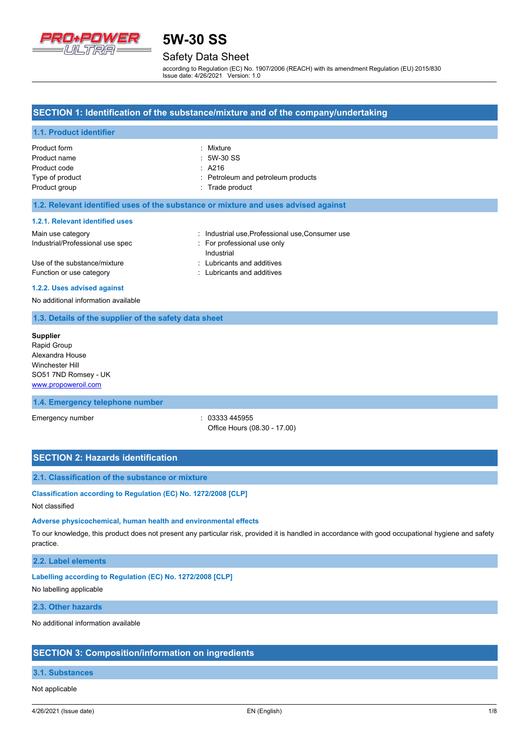

# Safety Data Sheet

according to Regulation (EC) No. 1907/2006 (REACH) with its amendment Regulation (EU) 2015/830 Issue date: 4/26/2021 Version: 1.0

## **SECTION 1: Identification of the substance/mixture and of the company/undertaking**

### **1.1. Product identifier**

| Product form    | : Mixture                          |
|-----------------|------------------------------------|
| Product name    | $:5W-30SS$                         |
| Product code    | $\therefore$ A216                  |
| Type of product | : Petroleum and petroleum products |
| Product group   | : Trade product                    |

### **1.2. Relevant identified uses of the substance or mixture and uses advised against**

#### **1.2.1. Relevant identified uses**

| Main use category                | : Industrial use, Professional use, Consumer use |
|----------------------------------|--------------------------------------------------|
| Industrial/Professional use spec | For professional use only                        |
|                                  | Industrial                                       |
| Use of the substance/mixture     | : Lubricants and additives                       |
| Function or use category         | : Lubricants and additives                       |

#### **1.2.2. Uses advised against**

No additional information available

### **1.3. Details of the supplier of the safety data sheet**

**Supplier** Rapid Group Alexandra House Winchester Hill SO51 7ND Romsey - UK <www.propoweroil.com>

### **1.4. Emergency telephone number**

Emergency number : 03333 445955 Office Hours (08.30 - 17.00)

### **SECTION 2: Hazards identification**

### **2.1. Classification of the substance or mixture**

**Classification according to Regulation (EC) No. 1272/2008 [CLP]**

### Not classified

#### **Adverse physicochemical, human health and environmental effects**

To our knowledge, this product does not present any particular risk, provided it is handled in accordance with good occupational hygiene and safety practice.

## **2.2. Label elements**

### **Labelling according to Regulation (EC) No. 1272/2008 [CLP]**

No labelling applicable

# **2.3. Other hazards**

No additional information available

### **SECTION 3: Composition/information on ingredients**

### **3.1. Substances**

Not applicable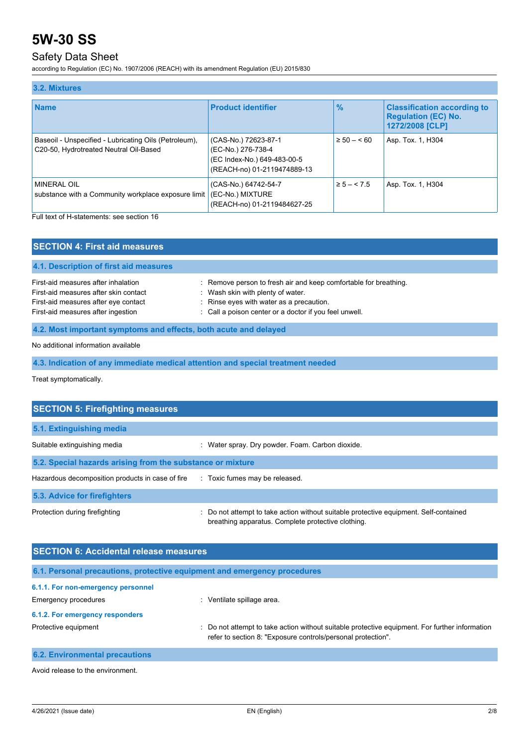# Safety Data Sheet

according to Regulation (EC) No. 1907/2006 (REACH) with its amendment Regulation (EU) 2015/830

| 3.2. Mixtures                                                                                   |                                                                                                          |                |                                                                                     |
|-------------------------------------------------------------------------------------------------|----------------------------------------------------------------------------------------------------------|----------------|-------------------------------------------------------------------------------------|
| <b>Name</b>                                                                                     | <b>Product identifier</b>                                                                                | $\frac{9}{6}$  | <b>Classification according to</b><br><b>Regulation (EC) No.</b><br>1272/2008 [CLP] |
| Baseoil - Unspecified - Lubricating Oils (Petroleum),<br>C20-50, Hydrotreated Neutral Oil-Based | (CAS-No.) 72623-87-1<br>(EC-No.) 276-738-4<br>(EC Index-No.) 649-483-00-5<br>(REACH-no) 01-2119474889-13 | $\geq 50 - 60$ | Asp. Tox. 1, H304                                                                   |
| MINERAL OIL<br>substance with a Community workplace exposure limit                              | (CAS-No.) 64742-54-7<br>(EC-No.) MIXTURE<br>(REACH-no) 01-2119484627-25                                  | $\ge 5 - 5.5$  | Asp. Tox. 1, H304                                                                   |

Full text of H-statements: see section 16

| <b>SECTION 4: First aid measures</b>                                                                                                                       |                                                                                                                                                                                                             |  |  |
|------------------------------------------------------------------------------------------------------------------------------------------------------------|-------------------------------------------------------------------------------------------------------------------------------------------------------------------------------------------------------------|--|--|
| 4.1. Description of first aid measures                                                                                                                     |                                                                                                                                                                                                             |  |  |
| First-aid measures after inhalation<br>First-aid measures after skin contact<br>First-aid measures after eye contact<br>First-aid measures after ingestion | : Remove person to fresh air and keep comfortable for breathing.<br>: Wash skin with plenty of water.<br>: Rinse eyes with water as a precaution.<br>: Call a poison center or a doctor if you feel unwell. |  |  |
| 4.2. Most important symptoms and effects, both acute and delayed                                                                                           |                                                                                                                                                                                                             |  |  |
| No additional information available                                                                                                                        |                                                                                                                                                                                                             |  |  |

**4.3. Indication of any immediate medical attention and special treatment needed**

Treat symptomatically.

| <b>SECTION 5: Firefighting measures</b>                    |                                                                                                                                           |  |  |
|------------------------------------------------------------|-------------------------------------------------------------------------------------------------------------------------------------------|--|--|
| 5.1. Extinguishing media                                   |                                                                                                                                           |  |  |
| Suitable extinguishing media                               | : Water spray. Dry powder. Foam. Carbon dioxide.                                                                                          |  |  |
| 5.2. Special hazards arising from the substance or mixture |                                                                                                                                           |  |  |
| Hazardous decomposition products in case of fire           | : Toxic fumes may be released.                                                                                                            |  |  |
| 5.3. Advice for firefighters                               |                                                                                                                                           |  |  |
| Protection during firefighting                             | Do not attempt to take action without suitable protective equipment. Self-contained<br>breathing apparatus. Complete protective clothing. |  |  |

| <b>SECTION 6: Accidental release measures</b>                            |                                                                                                                                                                |  |  |
|--------------------------------------------------------------------------|----------------------------------------------------------------------------------------------------------------------------------------------------------------|--|--|
| 6.1. Personal precautions, protective equipment and emergency procedures |                                                                                                                                                                |  |  |
| 6.1.1. For non-emergency personnel                                       |                                                                                                                                                                |  |  |
| <b>Emergency procedures</b>                                              | Ventilate spillage area.                                                                                                                                       |  |  |
| 6.1.2. For emergency responders                                          |                                                                                                                                                                |  |  |
| Protective equipment                                                     | : Do not attempt to take action without suitable protective equipment. For further information<br>refer to section 8: "Exposure controls/personal protection". |  |  |
| <b>6.2. Environmental precautions</b>                                    |                                                                                                                                                                |  |  |

Avoid release to the environment.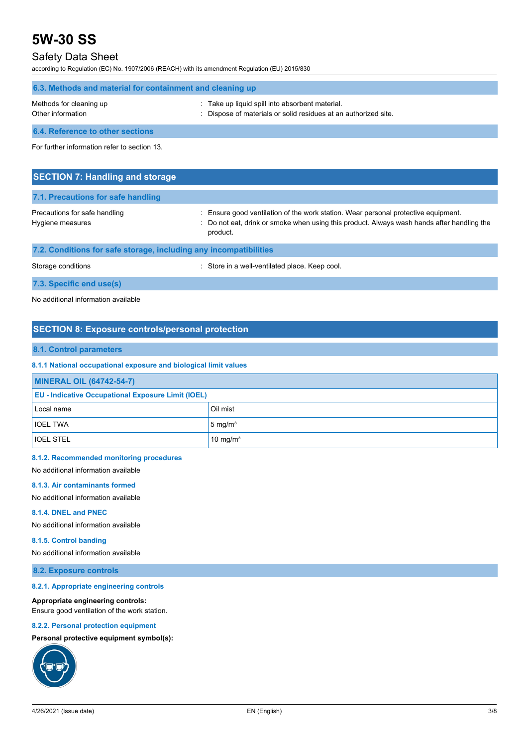# Safety Data Sheet

according to Regulation (EC) No. 1907/2006 (REACH) with its amendment Regulation (EU) 2015/830

| 6.3. Methods and material for containment and cleaning up |                                                                                                                    |  |
|-----------------------------------------------------------|--------------------------------------------------------------------------------------------------------------------|--|
| Methods for cleaning up<br>Other information              | : Take up liquid spill into absorbent material.<br>: Dispose of materials or solid residues at an authorized site. |  |
| 6.4. Reference to other sections                          |                                                                                                                    |  |

For further information refer to section 13.

| <b>SECTION 7: Handling and storage</b>                            |                                                                                                                                                                                              |  |  |
|-------------------------------------------------------------------|----------------------------------------------------------------------------------------------------------------------------------------------------------------------------------------------|--|--|
| 7.1. Precautions for safe handling                                |                                                                                                                                                                                              |  |  |
| Precautions for safe handling<br>Hygiene measures                 | : Ensure good ventilation of the work station. Wear personal protective equipment.<br>: Do not eat, drink or smoke when using this product. Always wash hands after handling the<br>product. |  |  |
| 7.2. Conditions for safe storage, including any incompatibilities |                                                                                                                                                                                              |  |  |
| Storage conditions                                                | : Store in a well-ventilated place. Keep cool.                                                                                                                                               |  |  |

**7.3. Specific end use(s)**

No additional information available

# **SECTION 8: Exposure controls/personal protection**

## **8.1. Control parameters**

### **8.1.1 National occupational exposure and biological limit values**

| <b>MINERAL OIL (64742-54-7)</b>                           |                      |  |
|-----------------------------------------------------------|----------------------|--|
| <b>EU - Indicative Occupational Exposure Limit (IOEL)</b> |                      |  |
| Local name                                                | Oil mist             |  |
| <b>IOEL TWA</b>                                           | $5 \text{ mg/m}^3$   |  |
| <b>IOEL STEL</b>                                          | 10 mg/m <sup>3</sup> |  |

#### **8.1.2. Recommended monitoring procedures**

No additional information available

#### **8.1.3. Air contaminants formed**

No additional information available

#### **8.1.4. DNEL and PNEC**

No additional information available

### **8.1.5. Control banding**

No additional information available

### **8.2. Exposure controls**

### **8.2.1. Appropriate engineering controls**

### **Appropriate engineering controls:**

Ensure good ventilation of the work station.

### **8.2.2. Personal protection equipment**

## **Personal protective equipment symbol(s):**

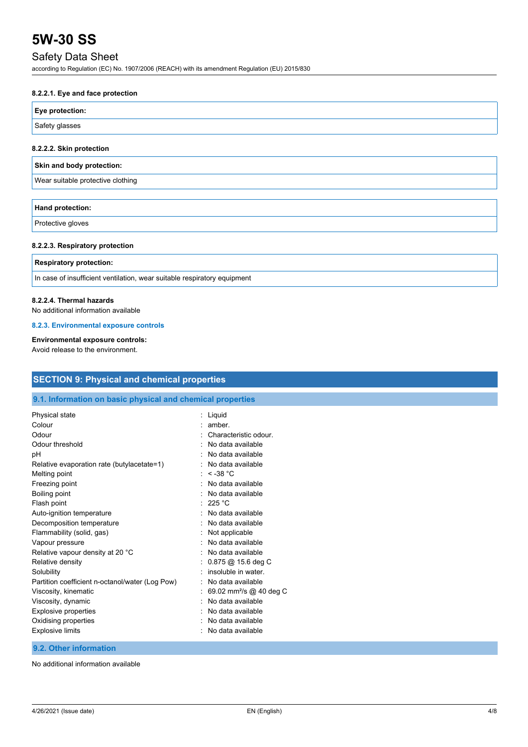# Safety Data Sheet

according to Regulation (EC) No. 1907/2006 (REACH) with its amendment Regulation (EU) 2015/830

# **8.2.2.1. Eye and face protection**

| Eye protection: |  |
|-----------------|--|
| Safety glasses  |  |

### **8.2.2.2. Skin protection**

|  | Skin and body protection: |
|--|---------------------------|
|  |                           |

Wear suitable protective clothing

| <b>Hand protection:</b> |  |
|-------------------------|--|
| Protective gloves       |  |

### **8.2.2.3. Respiratory protection**

#### **Respiratory protection:**

In case of insufficient ventilation, wear suitable respiratory equipment

### **8.2.2.4. Thermal hazards**

No additional information available

#### **8.2.3. Environmental exposure controls**

# **Environmental exposure controls:**

Avoid release to the environment.

| <b>SECTION 9: Physical and chemical properties</b><br>9.1. Information on basic physical and chemical properties |                   |  |
|------------------------------------------------------------------------------------------------------------------|-------------------|--|
|                                                                                                                  |                   |  |
| Viscosity, dynamic                                                                                               | No data available |  |
| <b>Explosive properties</b>                                                                                      | No data available |  |
| Oxidising properties                                                                                             | No data available |  |
| <b>Explosive limits</b>                                                                                          | No data available |  |

# **9.2. Other information**

No additional information available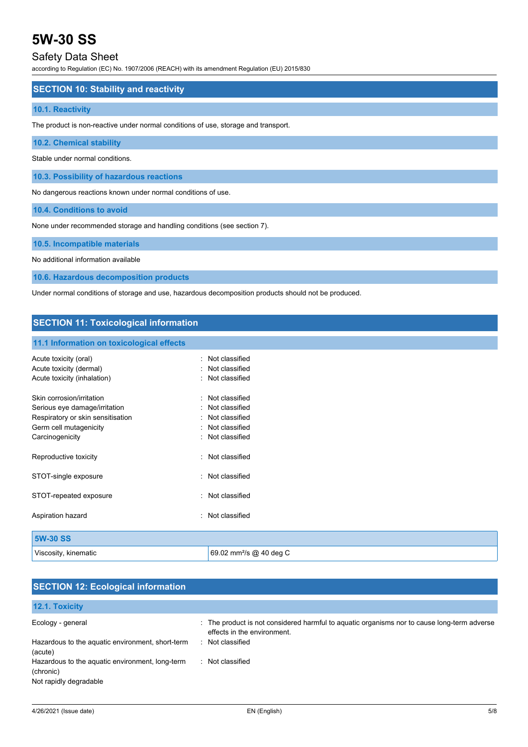# Safety Data Sheet

according to Regulation (EC) No. 1907/2006 (REACH) with its amendment Regulation (EU) 2015/830

# **SECTION 10: Stability and reactivity**

## **10.1. Reactivity**

The product is non-reactive under normal conditions of use, storage and transport.

# **10.2. Chemical stability**

Stable under normal conditions.

**10.3. Possibility of hazardous reactions**

No dangerous reactions known under normal conditions of use.

**10.4. Conditions to avoid**

None under recommended storage and handling conditions (see section 7).

## **10.5. Incompatible materials**

No additional information available

**10.6. Hazardous decomposition products**

Under normal conditions of storage and use, hazardous decomposition products should not be produced.

# **SECTION 11: Toxicological information**

### **11.1 Information on toxicological effects**

| Acute toxicity (oral)<br>Acute toxicity (dermal)<br>Acute toxicity (inhalation)                                                              |           | Not classified<br>Not classified<br>Not classified                                     |
|----------------------------------------------------------------------------------------------------------------------------------------------|-----------|----------------------------------------------------------------------------------------|
| Skin corrosion/irritation<br>Serious eye damage/irritation<br>Respiratory or skin sensitisation<br>Germ cell mutagenicity<br>Carcinogenicity | ۰         | Not classified<br>Not classified<br>Not classified<br>Not classified<br>Not classified |
| Reproductive toxicity                                                                                                                        |           | Not classified                                                                         |
| STOT-single exposure                                                                                                                         |           | Not classified                                                                         |
| STOT-repeated exposure                                                                                                                       |           | Not classified                                                                         |
| Aspiration hazard                                                                                                                            | $\bullet$ | Not classified                                                                         |
| 5W-30 SS                                                                                                                                     |           |                                                                                        |

Viscosity, kinematic and the state of the 69.02 mm<sup>2</sup>/s @ 40 deg C

| <b>SECTION 12: Ecological information</b>                                              |                                                                                                                            |  |
|----------------------------------------------------------------------------------------|----------------------------------------------------------------------------------------------------------------------------|--|
| 12.1. Toxicity                                                                         |                                                                                                                            |  |
| Ecology - general                                                                      | : The product is not considered harmful to aquatic organisms nor to cause long-term adverse<br>effects in the environment. |  |
| Hazardous to the aquatic environment, short-term<br>(acute)                            | : Not classified                                                                                                           |  |
| Hazardous to the aquatic environment, long-term<br>(chronic)<br>Not rapidly degradable | : Not classified                                                                                                           |  |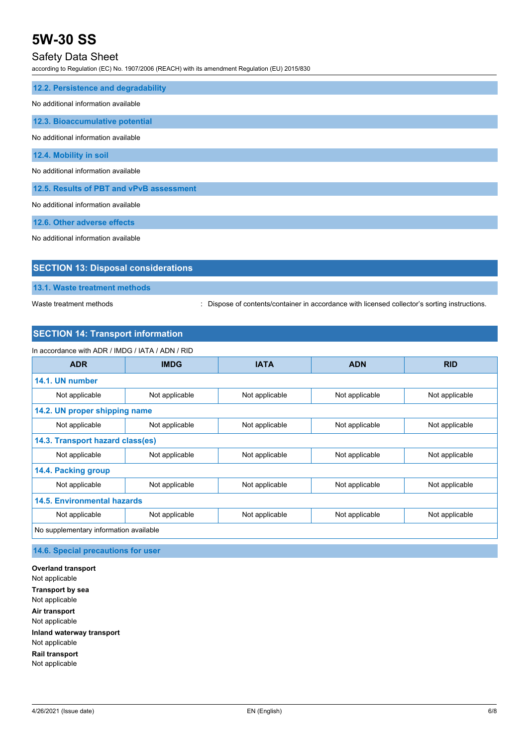# Safety Data Sheet

according to Regulation (EC) No. 1907/2006 (REACH) with its amendment Regulation (EU) 2015/830

| 12.2. Persistence and degradability      |
|------------------------------------------|
| No additional information available      |
| 12.3. Bioaccumulative potential          |
| No additional information available      |
| 12.4. Mobility in soil                   |
| No additional information available      |
| 12.5. Results of PBT and vPvB assessment |
| No additional information available      |
| 12.6. Other adverse effects              |

No additional information available

| <b>SECTION 13: Disposal considerations</b> |  |  |
|--------------------------------------------|--|--|
| 13.1. Waste treatment methods              |  |  |

Waste treatment methods : Dispose of contents/container in accordance with licensed collector's sorting instructions.

# **SECTION 14: Transport information**

| In accordance with ADR / IMDG / IATA / ADN / RID |                |                |                |                |
|--------------------------------------------------|----------------|----------------|----------------|----------------|
| <b>ADR</b>                                       | <b>IMDG</b>    | <b>IATA</b>    | <b>ADN</b>     | <b>RID</b>     |
| 14.1. UN number                                  |                |                |                |                |
| Not applicable                                   | Not applicable | Not applicable | Not applicable | Not applicable |
| 14.2. UN proper shipping name                    |                |                |                |                |
| Not applicable                                   | Not applicable | Not applicable | Not applicable | Not applicable |
| 14.3. Transport hazard class(es)                 |                |                |                |                |
| Not applicable                                   | Not applicable | Not applicable | Not applicable | Not applicable |
| 14.4. Packing group                              |                |                |                |                |
| Not applicable                                   | Not applicable | Not applicable | Not applicable | Not applicable |
| <b>14.5. Environmental hazards</b>               |                |                |                |                |
| Not applicable                                   | Not applicable | Not applicable | Not applicable | Not applicable |
| No supplementary information available           |                |                |                |                |

**14.6. Special precautions for user**

**Overland transport** Not applicable **Transport by sea** Not applicable **Air transport** Not applicable **Inland waterway transport** Not applicable **Rail transport** Not applicable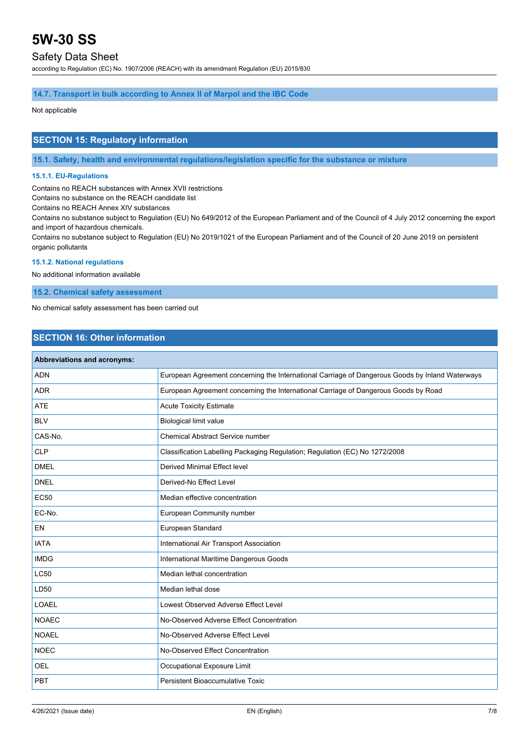# Safety Data Sheet

according to Regulation (EC) No. 1907/2006 (REACH) with its amendment Regulation (EU) 2015/830

# **14.7. Transport in bulk according to Annex II of Marpol and the IBC Code**

Not applicable

# **SECTION 15: Regulatory information**

**15.1. Safety, health and environmental regulations/legislation specific for the substance or mixture**

# **15.1.1. EU-Regulations**

Contains no REACH substances with Annex XVII restrictions

Contains no substance on the REACH candidate list

Contains no REACH Annex XIV substances

Contains no substance subject to Regulation (EU) No 649/2012 of the European Parliament and of the Council of 4 July 2012 concerning the export and import of hazardous chemicals.

Contains no substance subject to Regulation (EU) No 2019/1021 of the European Parliament and of the Council of 20 June 2019 on persistent organic pollutants

## **15.1.2. National regulations**

No additional information available

**15.2. Chemical safety assessment**

No chemical safety assessment has been carried out

# **SECTION 16: Other information**

| Abbreviations and acronyms: |                                                                                                 |
|-----------------------------|-------------------------------------------------------------------------------------------------|
| <b>ADN</b>                  | European Agreement concerning the International Carriage of Dangerous Goods by Inland Waterways |
| <b>ADR</b>                  | European Agreement concerning the International Carriage of Dangerous Goods by Road             |
| <b>ATE</b>                  | <b>Acute Toxicity Estimate</b>                                                                  |
| <b>BLV</b>                  | <b>Biological limit value</b>                                                                   |
| CAS-No.                     | <b>Chemical Abstract Service number</b>                                                         |
| <b>CLP</b>                  | Classification Labelling Packaging Regulation; Regulation (EC) No 1272/2008                     |
| <b>DMEL</b>                 | <b>Derived Minimal Effect level</b>                                                             |
| <b>DNEL</b>                 | Derived-No Effect Level                                                                         |
| <b>EC50</b>                 | Median effective concentration                                                                  |
| EC-No.                      | European Community number                                                                       |
| EN                          | European Standard                                                                               |
| <b>IATA</b>                 | International Air Transport Association                                                         |
| <b>IMDG</b>                 | International Maritime Dangerous Goods                                                          |
| <b>LC50</b>                 | Median lethal concentration                                                                     |
| LD50                        | Median lethal dose                                                                              |
| <b>LOAEL</b>                | Lowest Observed Adverse Effect Level                                                            |
| <b>NOAEC</b>                | No-Observed Adverse Effect Concentration                                                        |
| <b>NOAEL</b>                | No-Observed Adverse Effect Level                                                                |
| <b>NOEC</b>                 | No-Observed Effect Concentration                                                                |
| OEL                         | Occupational Exposure Limit                                                                     |
| PBT                         | Persistent Bioaccumulative Toxic                                                                |
|                             |                                                                                                 |